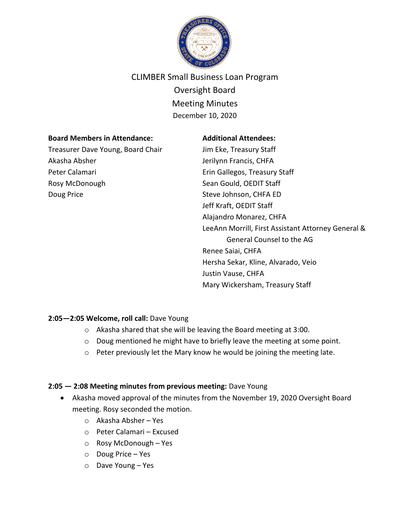

# CLIMBER Small Business Loan Program Oversight Board Meeting Minutes December 10, 2020

#### **Board Members in Attendance:**

Treasurer Dave Young, Board Chair Akasha Absher Peter Calamari Rosy McDonough Doug Price

#### **Additional Attendees:**

Jim Eke, Treasury Staff Jerilynn Francis, CHFA Erin Gallegos, Treasury Staff Sean Gould, OEDIT Staff Steve Johnson, CHFA ED Jeff Kraft, OEDIT Staff Alajandro Monarez, CHFA LeeAnn Morrill, First Assistant Attorney General & General Counsel to the AG Renee Saiai, CHFA Hersha Sekar, Kline, Alvarado, Veio Justin Vause, CHFA Mary Wickersham, Treasury Staff

# **2:05—2:05 Welcome, roll call:** Dave Young

- o Akasha shared that she will be leaving the Board meeting at 3:00.
- o Doug mentioned he might have to briefly leave the meeting at some point.
- o Peter previously let the Mary know he would be joining the meeting late.

# **2:05 — 2:08 Meeting minutes from previous meeting:** Dave Young

- Akasha moved approval of the minutes from the November 19, 2020 Oversight Board meeting. Rosy seconded the motion.
	- o Akasha Absher Yes
	- o Peter Calamari Excused
	- o Rosy McDonough Yes
	- o Doug Price Yes
	- o Dave Young Yes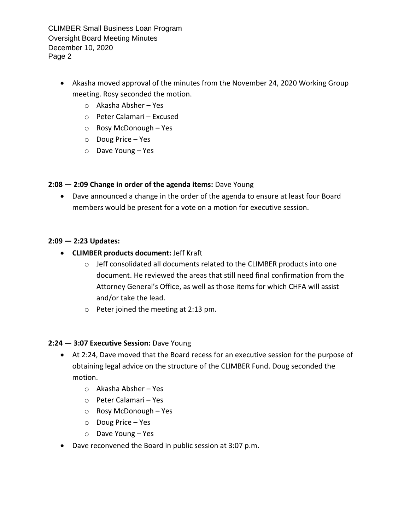CLIMBER Small Business Loan Program Oversight Board Meeting Minutes December 10, 2020 Page 2

- Akasha moved approval of the minutes from the November 24, 2020 Working Group meeting. Rosy seconded the motion.
	- o Akasha Absher Yes
	- o Peter Calamari Excused
	- o Rosy McDonough Yes
	- o Doug Price Yes
	- o Dave Young Yes

#### **2:08 — 2:09 Change in order of the agenda items:** Dave Young

• Dave announced a change in the order of the agenda to ensure at least four Board members would be present for a vote on a motion for executive session.

#### **2:09 — 2:23 Updates:**

- **CLIMBER products document:** Jeff Kraft
	- o Jeff consolidated all documents related to the CLIMBER products into one document. He reviewed the areas that still need final confirmation from the Attorney General's Office, as well as those items for which CHFA will assist and/or take the lead.
	- o Peter joined the meeting at 2:13 pm.

#### **2:24 — 3:07 Executive Session:** Dave Young

- At 2:24, Dave moved that the Board recess for an executive session for the purpose of obtaining legal advice on the structure of the CLIMBER Fund. Doug seconded the motion.
	- o Akasha Absher Yes
	- o Peter Calamari Yes
	- o Rosy McDonough Yes
	- o Doug Price Yes
	- o Dave Young Yes
- Dave reconvened the Board in public session at 3:07 p.m.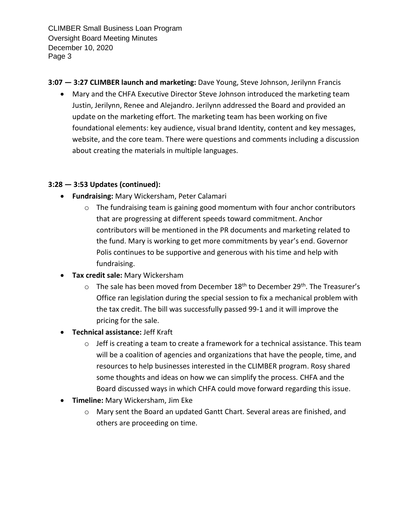CLIMBER Small Business Loan Program Oversight Board Meeting Minutes December 10, 2020 Page 3

- **3:07 — 3:27 CLIMBER launch and marketing:** Dave Young, Steve Johnson, Jerilynn Francis
	- Mary and the CHFA Executive Director Steve Johnson introduced the marketing team Justin, Jerilynn, Renee and Alejandro. Jerilynn addressed the Board and provided an update on the marketing effort. The marketing team has been working on five foundational elements: key audience, visual brand Identity, content and key messages, website, and the core team. There were questions and comments including a discussion about creating the materials in multiple languages.

# **3:28 — 3:53 Updates (continued):**

- **Fundraising:** Mary Wickersham, Peter Calamari
	- o The fundraising team is gaining good momentum with four anchor contributors that are progressing at different speeds toward commitment. Anchor contributors will be mentioned in the PR documents and marketing related to the fund. Mary is working to get more commitments by year's end. Governor Polis continues to be supportive and generous with his time and help with fundraising.
- **Tax credit sale:** Mary Wickersham
	- $\circ$  The sale has been moved from December 18<sup>th</sup> to December 29<sup>th</sup>. The Treasurer's Office ran legislation during the special session to fix a mechanical problem with the tax credit. The bill was successfully passed 99-1 and it will improve the pricing for the sale.
- **Technical assistance:** Jeff Kraft
	- $\circ$  Jeff is creating a team to create a framework for a technical assistance. This team will be a coalition of agencies and organizations that have the people, time, and resources to help businesses interested in the CLIMBER program. Rosy shared some thoughts and ideas on how we can simplify the process. CHFA and the Board discussed ways in which CHFA could move forward regarding this issue.
- **Timeline:** Mary Wickersham, Jim Eke
	- o Mary sent the Board an updated Gantt Chart. Several areas are finished, and others are proceeding on time.